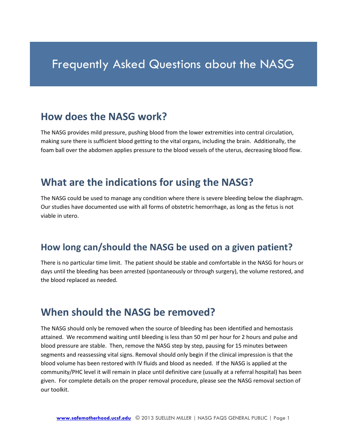# Frequently Asked Questions about the NASG

#### **How does the NASG work?**

The NASG provides mild pressure, pushing blood from the lower extremities into central circulation, making sure there is sufficient blood getting to the vital organs, including the brain. Additionally, the foam ball over the abdomen applies pressure to the blood vessels of the uterus, decreasing blood flow.

## **What are the indications for using the NASG?**

The NASG could be used to manage any condition where there is severe bleeding below the diaphragm. Our studies have documented use with all forms of obstetric hemorrhage, as long as the fetus is not viable in utero.

#### **How long can/should the NASG be used on a given patient?**

There is no particular time limit. The patient should be stable and comfortable in the NASG for hours or days until the bleeding has been arrested (spontaneously or through surgery), the volume restored, and the blood replaced as needed.

#### **When should the NASG be removed?**

The NASG should only be removed when the source of bleeding has been identified and hemostasis attained. We recommend waiting until bleeding is less than 50 ml per hour for 2 hours and pulse and blood pressure are stable. Then, remove the NASG step by step, pausing for 15 minutes between segments and reassessing vital signs. Removal should only begin if the clinical impression is that the blood volume has been restored with IV fluids and blood as needed. If the NASG is applied at the community/PHC level it will remain in place until definitive care (usually at a referral hospital) has been given. For complete details on the proper removal procedure, please see the NASG removal section of our toolkit.